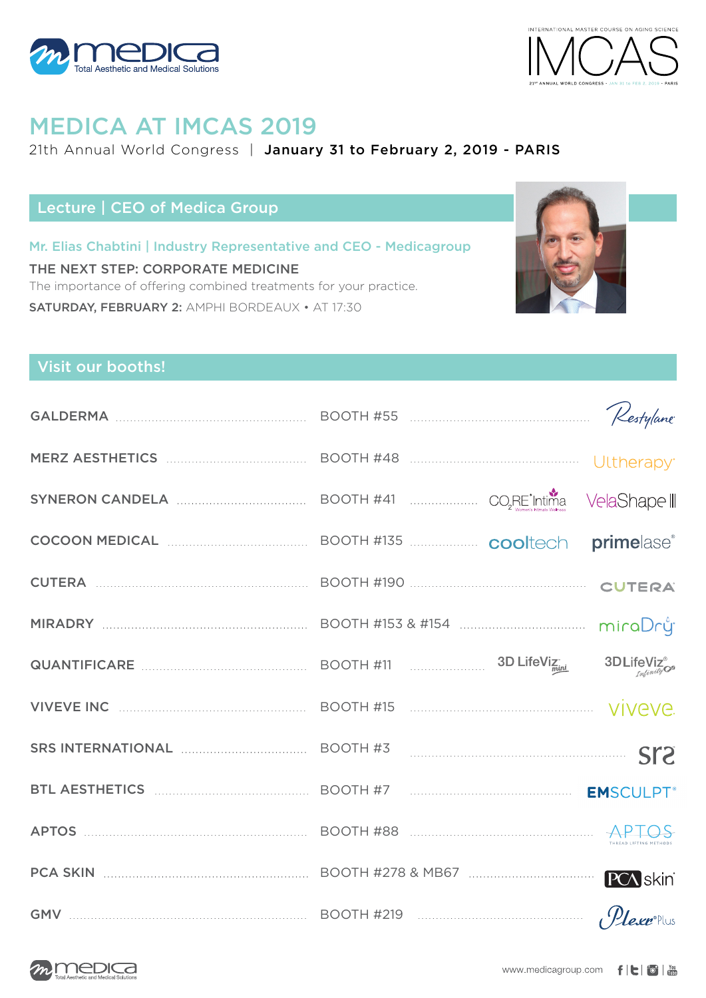



# MEDICA AT IMCAS 2019

#### 21th Annual World Congress | January 31 to February 2, 2019 - PARIS

## Lecture | CEO of Medica Group

Mr. Elias Chabtini | Industry Representative and CEO - Medicagroup THE NEXT STEP: CORPORATE MEDICINE The importance of offering combined treatments for your practice. SATURDAY, FEBRUARY 2: AMPHI BORDEAUX • AT 17:30



### Visit our booths!

|                                                                                                                        | BOOTH #41  CORE <sup>'</sup> Intima VelaShapell |                 |
|------------------------------------------------------------------------------------------------------------------------|-------------------------------------------------|-----------------|
| COCOON MEDICAL <b>COLOUGE ACCESS</b> BOOTH #135 <b>COOL</b> BOOTH #135                                                 |                                                 | primelase®      |
|                                                                                                                        |                                                 |                 |
|                                                                                                                        |                                                 |                 |
|                                                                                                                        |                                                 |                 |
| VIVEVE INC <b>WELL ASSESSED TO A REPORT A</b> 15 <b>CONTRACT A REPORT A</b> 15 <b>CONTRACT A 15 CONTRACT A VIVEVE.</b> |                                                 |                 |
| SRS INTERNATIONAL <b>SERVICE AND RESOLUTE A</b> SOOTH #3                                                               |                                                 |                 |
| BTL AESTHETICS MARKER AND MARKETING BOOTH #7 MARKETING MARKETING EMSCULPT <sup>®</sup>                                 |                                                 |                 |
| APTOS MARIE APTOS                                                                                                      |                                                 |                 |
|                                                                                                                        |                                                 | <b>PCA</b> skin |
| GMV $\ldots$ BOOTH #219                                                                                                |                                                 |                 |